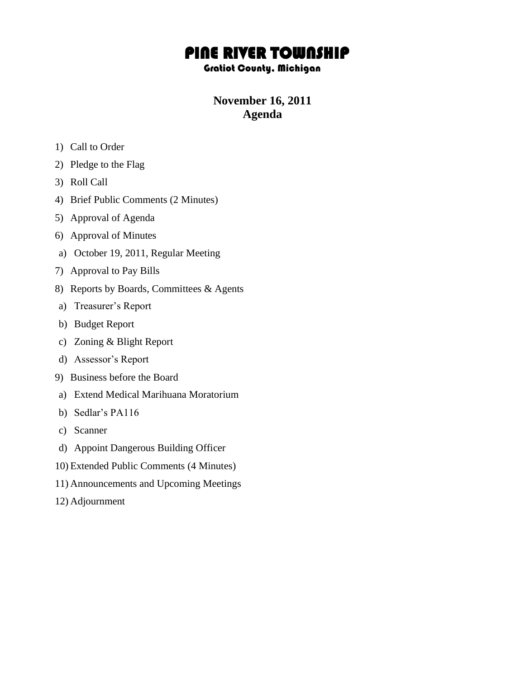## PINE RIVER TOWNSHIP

## Gratiot County, Michigan

## **November 16, 2011 Agenda**

- 1) Call to Order
- 2) Pledge to the Flag
- 3) Roll Call
- 4) Brief Public Comments (2 Minutes)
- 5) Approval of Agenda
- 6) Approval of Minutes
- a) October 19, 2011, Regular Meeting
- 7) Approval to Pay Bills
- 8) Reports by Boards, Committees & Agents
- a) Treasurer's Report
- b) Budget Report
- c) Zoning & Blight Report
- d) Assessor's Report
- 9) Business before the Board
- a) Extend Medical Marihuana Moratorium
- b) Sedlar's PA116
- c) Scanner
- d) Appoint Dangerous Building Officer
- 10) Extended Public Comments (4 Minutes)
- 11) Announcements and Upcoming Meetings
- 12) Adjournment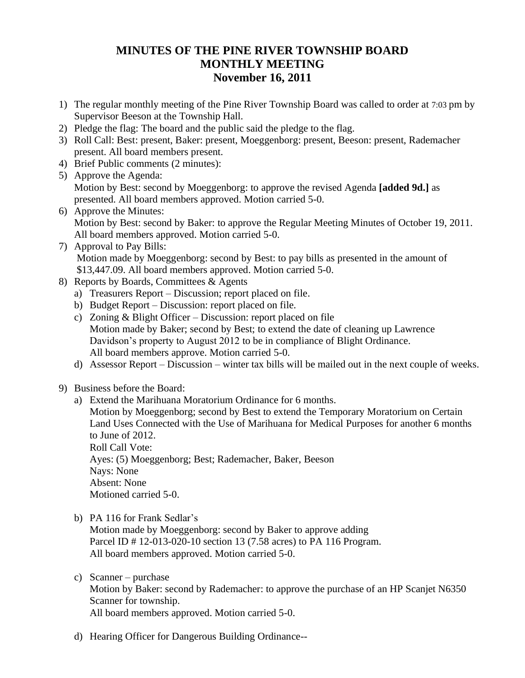## **MINUTES OF THE PINE RIVER TOWNSHIP BOARD MONTHLY MEETING November 16, 2011**

- 1) The regular monthly meeting of the Pine River Township Board was called to order at 7:03 pm by Supervisor Beeson at the Township Hall.
- 2) Pledge the flag: The board and the public said the pledge to the flag.
- 3) Roll Call: Best: present, Baker: present, Moeggenborg: present, Beeson: present, Rademacher present. All board members present.
- 4) Brief Public comments (2 minutes):
- 5) Approve the Agenda: Motion by Best: second by Moeggenborg: to approve the revised Agenda **[added 9d.]** as presented. All board members approved. Motion carried 5-0.
- 6) Approve the Minutes: Motion by Best: second by Baker: to approve the Regular Meeting Minutes of October 19, 2011. All board members approved. Motion carried 5-0.
- 7) Approval to Pay Bills: Motion made by Moeggenborg: second by Best: to pay bills as presented in the amount of \$13,447.09. All board members approved. Motion carried 5-0.
- 8) Reports by Boards, Committees & Agents
	- a) Treasurers Report Discussion; report placed on file.
	- b) Budget Report Discussion: report placed on file.
	- c) Zoning & Blight Officer Discussion: report placed on file Motion made by Baker; second by Best; to extend the date of cleaning up Lawrence Davidson's property to August 2012 to be in compliance of Blight Ordinance. All board members approve. Motion carried 5-0.
	- d) Assessor Report Discussion winter tax bills will be mailed out in the next couple of weeks.
- 9) Business before the Board:
	- a) Extend the Marihuana Moratorium Ordinance for 6 months. Motion by Moeggenborg; second by Best to extend the Temporary Moratorium on Certain Land Uses Connected with the Use of Marihuana for Medical Purposes for another 6 months to June of 2012. Roll Call Vote: Ayes: (5) Moeggenborg; Best; Rademacher, Baker, Beeson Nays: None Absent: None Motioned carried 5-0.
	- b) PA 116 for Frank Sedlar's

Motion made by Moeggenborg: second by Baker to approve adding Parcel ID # 12-013-020-10 section 13 (7.58 acres) to PA 116 Program. All board members approved. Motion carried 5-0.

c) Scanner – purchase Motion by Baker: second by Rademacher: to approve the purchase of an HP Scanjet N6350 Scanner for township.

All board members approved. Motion carried 5-0.

d) Hearing Officer for Dangerous Building Ordinance--